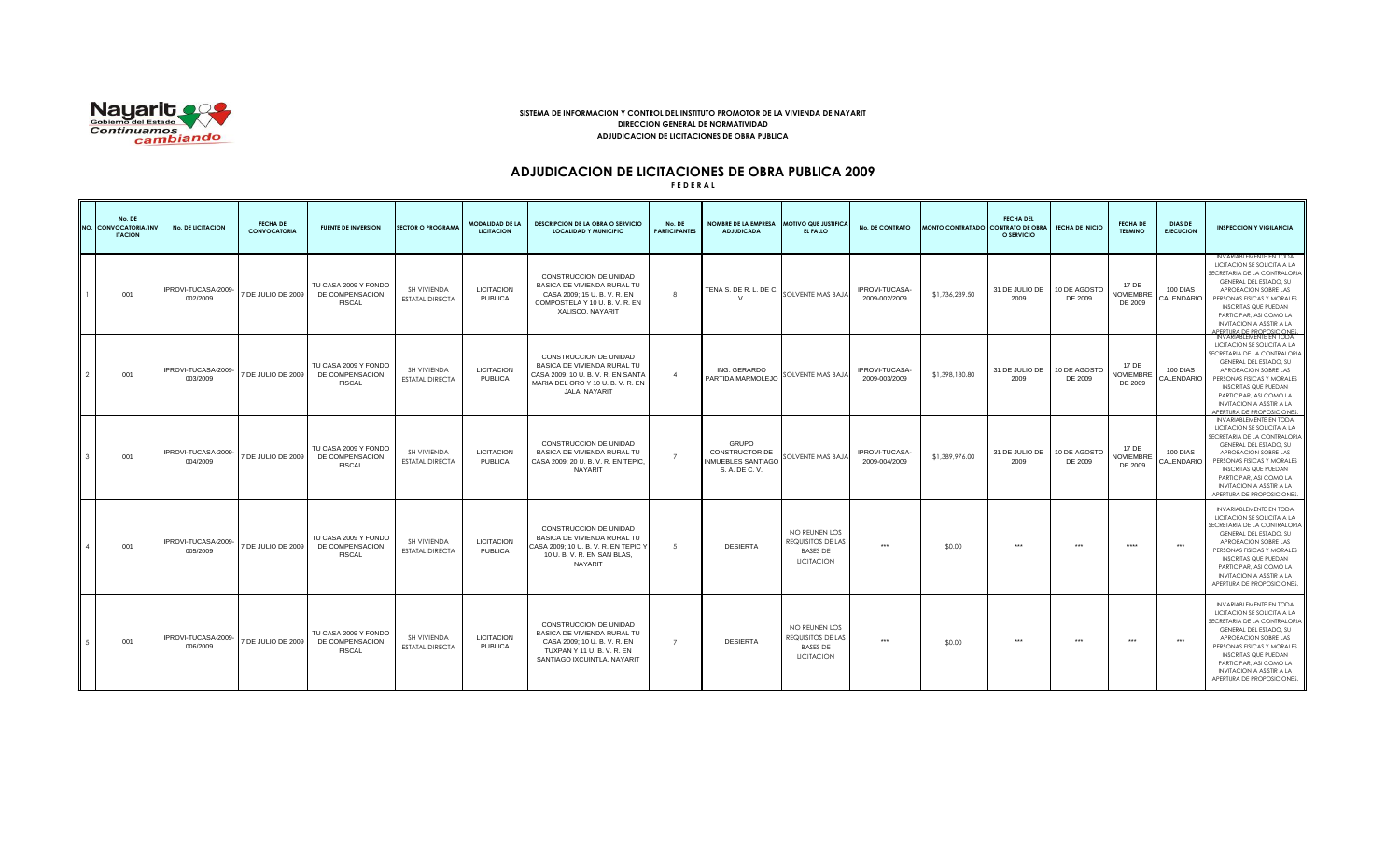

## **SISTEMA DE INFORMACION Y CONTROL DEL INSTITUTO PROMOTOR DE LA VIVIENDA DE NAYARIT DIRECCION GENERAL DE NORMATIVIDAD ADJUDICACION DE LICITACIONES DE OBRA PUBLICA**

## **ADJUDICACION DE LICITACIONES DE OBRA PUBLICA 2009**

**F E D E R A L**

| No. DE<br><b>VO. CONVOCATORIA/INV</b><br><b>ITACION</b> | <b>No. DE LICITACION</b>        | <b>FECHA DE</b><br><b>CONVOCATORIA</b> | <b>FUENTE DE INVERSION</b>                               | <b>SECTOR O PROGRAMA</b>              | <b>MODALIDAD DE LA</b><br><b>LICITACION</b> | <b>DESCRIPCION DE LA OBRA O SERVICIO</b><br><b>LOCALIDAD Y MUNICIPIO</b>                                                                     | No. DE<br><b>PARTICIPANTES</b> | <b>NOMBRE DE LA EMPRESA</b><br><b>ADJUDICADA</b>                                     | <b>MOTIVO QUE JUSTIFICA</b><br>EL FALLO                                    | <b>No. DE CONTRATO</b>          | MONTO CONTRATADO CONTRATO DE OBRA | <b>FECHA DEL</b><br>O SERVICIO | <b>FECHA DE INICIO</b>  | <b>FECHA DE</b><br><b>TERMINO</b> | <b>DIAS DE</b><br><b>EJECUCION</b> | <b>INSPECCION Y VIGILANCIA</b>                                                                                                                                                                                                                                                                            |
|---------------------------------------------------------|---------------------------------|----------------------------------------|----------------------------------------------------------|---------------------------------------|---------------------------------------------|----------------------------------------------------------------------------------------------------------------------------------------------|--------------------------------|--------------------------------------------------------------------------------------|----------------------------------------------------------------------------|---------------------------------|-----------------------------------|--------------------------------|-------------------------|-----------------------------------|------------------------------------|-----------------------------------------------------------------------------------------------------------------------------------------------------------------------------------------------------------------------------------------------------------------------------------------------------------|
| 001                                                     | IPROVI-TUCASA-2009-<br>002/2009 | 7 DE JULIO DE 2009                     | TU CASA 2009 Y FONDO<br>DE COMPENSACION<br><b>FISCAL</b> | SH VIVIENDA<br><b>ESTATAL DIRECTA</b> | <b>LICITACION</b><br><b>PUBLICA</b>         | CONSTRUCCION DE UNIDAD<br>BASICA DE VIVIENDA RURAL TU<br>CASA 2009: 15 U.B. V.R. EN<br>COMPOSTELA Y 10 U.B.V.R.EN<br>XALISCO, NAYARIT        | $\mathcal{R}$                  | TENA S. DE R. L. DE C.<br>$V_{\cdot}$                                                | SOLVENTE MAS BAJA                                                          | IPROVI-TUCASA-<br>2009-002/2009 | \$1,736,239.50                    | 31 DE JULIO DE<br>2009         | 10 DE AGOSTO<br>DE 2009 | 17 DE<br>NOVIEMBRE<br>DE 2009     | 100 DIAS<br>CALENDARIO             | INVARIABLEMENTE EN TODA<br>LICITACION SE SOLICITA A LA<br>SECRETARIA DE LA CONTRALORIA<br>GENERAL DEL ESTADO, SU<br>APROBACION SOBRE LAS<br>PERSONAS FISICAS Y MORALES<br><b>INSCRITAS QUE PUEDAN</b><br>PARTICIPAR, ASI COMO LA<br><b>INVITACION A ASISTIR A LA</b><br>APERTURA DE PROPOSICIONES.        |
| 001                                                     | IPROVI-TUCASA-2009-<br>003/2009 | 7 DE JULIO DE 2009                     | TU CASA 2009 Y FONDO<br>DE COMPENSACION<br><b>FISCAL</b> | SH VIVIENDA<br><b>ESTATAL DIRECTA</b> | <b>LICITACION</b><br><b>PUBLICA</b>         | CONSTRUCCION DE UNIDAD<br>BASICA DE VIVIENDA RURAL TU<br>CASA 2009; 10 U.B.V.R.EN SANTA<br>MARIA DEL ORO Y 10 U.B. V.R. EN<br>JALA, NAYARIT  | $\overline{4}$                 | ING. GERARDO<br>PARTIDA MARMOLEJO                                                    | <b>OLVENTE MAS BAJA</b>                                                    | IPROVI-TUCASA-<br>2009-003/2009 | \$1,398,130.80                    | 31 DE JULIO DE<br>2009         | 10 DE AGOSTO<br>DE 2009 | 17 DE<br>NOVIEMBRE<br>DE 2009     | 100 DIAS<br>CALENDARIO             | INVARIABLEMENTE EN TODA<br>LICITACION SE SOLICITA A LA<br>SECRETARIA DE LA CONTRALORIA<br>GENERAL DEL ESTADO, SU<br>APROBACION SOBRE LAS<br>PERSONAS FISICAS Y MORALES<br><b>INSCRITAS QUE PUEDAN</b><br>PARTICIPAR, ASI COMO LA<br><b>INVITACION A ASISTIR A LA</b><br><b>IPERTURA DE PROPOSICIONES.</b> |
| 001                                                     | IPROVI-TUCASA-2009-<br>004/2009 | 7 DE JULIO DE 2009                     | TU CASA 2009 Y FONDO<br>DE COMPENSACION<br><b>FISCAL</b> | SH VIVIENDA<br><b>ESTATAL DIRECTA</b> | <b>LICITACION</b><br><b>PUBLICA</b>         | CONSTRUCCION DE UNIDAD<br>BASICA DE VIVIENDA RURAL TU<br>CASA 2009; 20 U.B.V.R.EN TEPIC,<br>NAYARIT                                          | $\overline{7}$                 | <b>GRUPO</b><br><b>CONSTRUCTOR DE</b><br><b>INMUEBLES SANTIAGO</b><br>S. A. DE C. V. | SOLVENTE MAS BAJA                                                          | IPROVI-TUCASA-<br>2009-004/2009 | \$1,389,976.00                    | 31 DE JULIO DE<br>2009         | 10 DE AGOSTO<br>DE 2009 | 17 DE<br>NOVIEMBRE<br>DE 2009     | 100 DIAS<br>CALENDARIO             | INVARIABLEMENTE EN TODA<br>LICITACION SE SOLICITA A LA<br>SECRETARIA DE LA CONTRALORIA<br>GENERAL DEL ESTADO, SU<br>APROBACION SOBRE LAS<br>PERSONAS FISICAS Y MORALES<br><b>INSCRITAS QUE PUEDAN</b><br>PARTICIPAR, ASI COMO LA<br><b>INVITACION A ASISTIR A LA</b><br>APERTURA DE PROPOSICIONES         |
| 001                                                     | IPROVI-TUCASA-2009<br>005/2009  | 7 DE JULIO DE 2009                     | TU CASA 2009 Y FONDO<br>DE COMPENSACION<br><b>FISCAL</b> | SH VIVIENDA<br><b>ESTATAL DIRECTA</b> | <b>LICITACION</b><br><b>PUBLICA</b>         | CONSTRUCCION DE UNIDAD<br>BASICA DE VIVIENDA RURAL TU<br>CASA 2009: 10 U.B. V.R. EN TEPIC Y<br>10 U.B. V.R. EN SAN BLAS.<br>NAYARIT          | -5                             | <b>DESIERTA</b>                                                                      | NO REUNEN LOS<br>REQUISITOS DE LAS<br><b>BASES DE</b><br><b>LICITACION</b> | $***$                           | \$0.00                            | $***$                          | $***$                   | ****                              | $***$                              | INVARIABLEMENTE EN TODA<br>LICITACION SE SOLICITA A LA<br>SECRETARIA DE LA CONTRALORIA<br>GENERAL DEL ESTADO, SU<br>APROBACION SOBRE LAS<br>PERSONAS FISICAS Y MORALES<br><b>INSCRITAS QUE PUEDAN</b><br>PARTICIPAR, ASI COMO LA<br><b>INVITACION A ASISTIR A LA</b><br>APERTURA DE PROPOSICIONES.        |
| 001                                                     | IPROVI-TUCASA-2009-<br>006/2009 | 7 DE JULIO DE 2009                     | TU CASA 2009 Y FONDO<br>DE COMPENSACION<br><b>FISCAL</b> | SH VIVIENDA<br><b>ESTATAL DIRECTA</b> | <b>LICITACION</b><br><b>PUBLICA</b>         | CONSTRUCCION DE UNIDAD<br>BASICA DE VIVIENDA RURAL TU<br>CASA 2009: 10 U.B. V.R. EN<br>TUXPAN Y 11 U.B.V.R.EN<br>SANTIAGO IXCUINTLA, NAYARIT | $\overline{7}$                 | <b>DESIERTA</b>                                                                      | NO REUNEN LOS<br>REQUISITOS DE LAS<br><b>BASES DE</b><br><b>LICITACION</b> | $***$                           | \$0.00                            | $***$                          | $***$                   | $***$                             | $***$                              | INVARIABLEMENTE EN TODA<br>LICITACION SE SOLICITA A LA<br>SECRETARIA DE LA CONTRALORIA<br>GENERAL DEL ESTADO, SU<br>APROBACION SOBRE LAS<br>PERSONAS FISICAS Y MORALES<br><b>INSCRITAS QUE PUEDAN</b><br>PARTICIPAR, ASI COMO LA<br><b>INVITACION A ASISTIR A LA</b><br>APERTURA DE PROPOSICIONES.        |